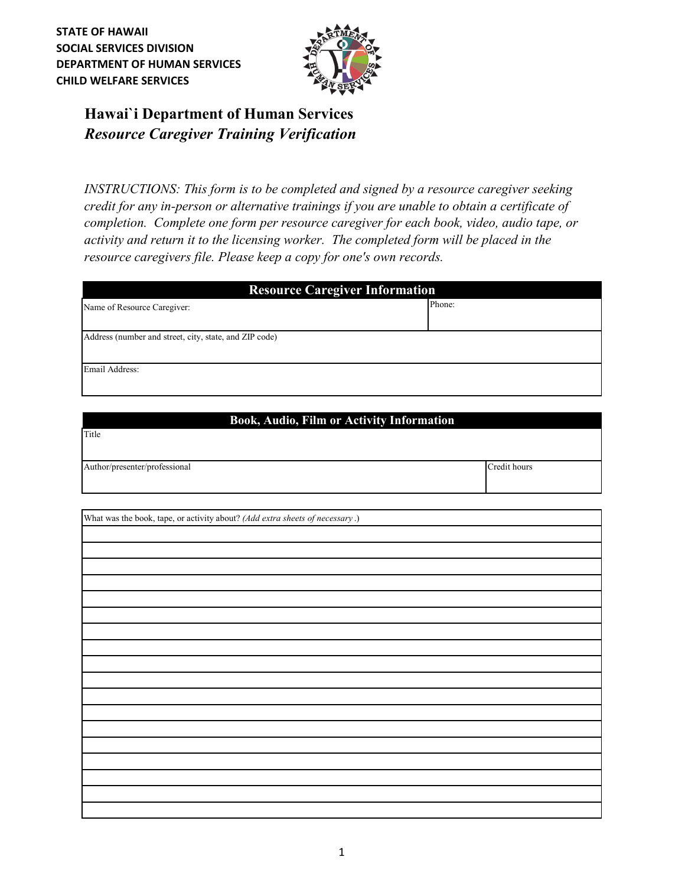**STATE OF HAWAII SOCIAL SERVICES DIVISION DEPARTMENT OF HUMAN SERVICES CHILD WELFARE SERVICES**



## *Resource Caregiver Training Verification* **Hawai`i Department of Human Services**

*INSTRUCTIONS: This form is to be completed and signed by a resource caregiver seeking credit for any in-person or alternative trainings if you are unable to obtain a certificate of completion. Complete one form per resource caregiver for each book, video, audio tape, or activity and return it to the licensing worker. The completed form will be placed in the resource caregivers file. Please keep a copy for one's own records.*

| <b>Resource Caregiver Information</b>                  |        |
|--------------------------------------------------------|--------|
| Name of Resource Caregiver:                            | Phone: |
|                                                        |        |
| Address (number and street, city, state, and ZIP code) |        |
| Email Address:                                         |        |

## **Book, Audio, Film or Activity Information**

Author/presenter/professional Credit hours

Title

| What was the book, tape, or activity about? (Add extra sheets of necessary .) |  |
|-------------------------------------------------------------------------------|--|
|                                                                               |  |
|                                                                               |  |
|                                                                               |  |
|                                                                               |  |
|                                                                               |  |
|                                                                               |  |
|                                                                               |  |
|                                                                               |  |
|                                                                               |  |
|                                                                               |  |
|                                                                               |  |
|                                                                               |  |
|                                                                               |  |
|                                                                               |  |
|                                                                               |  |
|                                                                               |  |
|                                                                               |  |
|                                                                               |  |